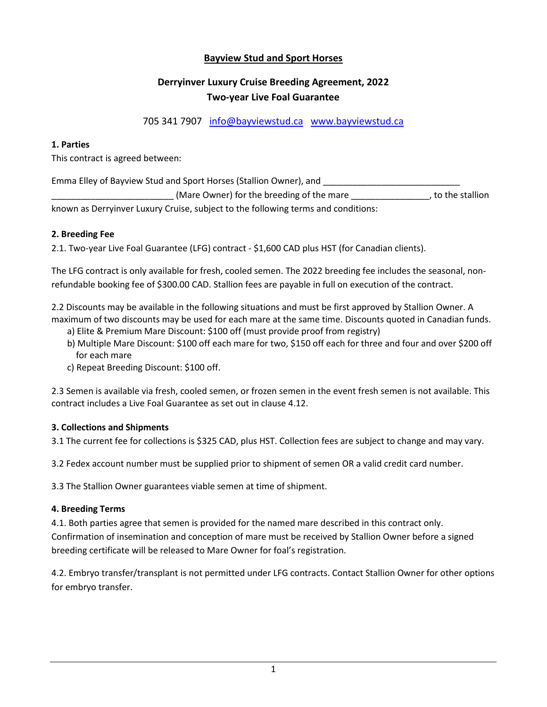# **Bayview Stud and Sport Horses**

# **Derryinver Luxury Cruise Breeding Agreement, 2022 Two-year Live Foal Guarantee**

705 341 7907 [info@bayviewstud.ca](mailto:info@bayviewstud.ca) [www.bayviewstud.ca](http://www.bayviewstud.ca/) 

## **1. Parties**

This contract is agreed between:

Emma Elley of Bayview Stud and Sport Horses (Stallion Owner), and **League Assets** 

(Mare Owner) for the breeding of the mare equal only interest all only in the stallion known as Derryinver Luxury Cruise, subject to the following terms and conditions:

## **2. Breeding Fee**

2.1. Two-year Live Foal Guarantee (LFG) contract - \$1,600 CAD plus HST (for Canadian clients).

The LFG contract is only available for fresh, cooled semen. The 2022 breeding fee includes the seasonal, nonrefundable booking fee of \$300.00 CAD. Stallion fees are payable in full on execution of the contract.

2.2 Discounts may be available in the following situations and must be first approved by Stallion Owner. A maximum of two discounts may be used for each mare at the same time. Discounts quoted in Canadian funds.

- a) Elite & Premium Mare Discount: \$100 off (must provide proof from registry)
- b) Multiple Mare Discount: \$100 off each mare for two, \$150 off each for three and four and over \$200 off for each mare
- c) Repeat Breeding Discount: \$100 off.

2.3 Semen is available via fresh, cooled semen, or frozen semen in the event fresh semen is not available. This contract includes a Live Foal Guarantee as set out in clause 4.12.

### **3. Collections and Shipments**

3.1 The current fee for collections is \$325 CAD, plus HST. Collection fees are subject to change and may vary.

3.2 Fedex account number must be supplied prior to shipment of semen OR a valid credit card number.

3.3 The Stallion Owner guarantees viable semen at time of shipment.

### **4. Breeding Terms**

4.1. Both parties agree that semen is provided for the named mare described in this contract only. Confirmation of insemination and conception of mare must be received by Stallion Owner before a signed breeding certificate will be released to Mare Owner for foal's registration.

4.2. Embryo transfer/transplant is not permitted under LFG contracts. Contact Stallion Owner for other options for embryo transfer.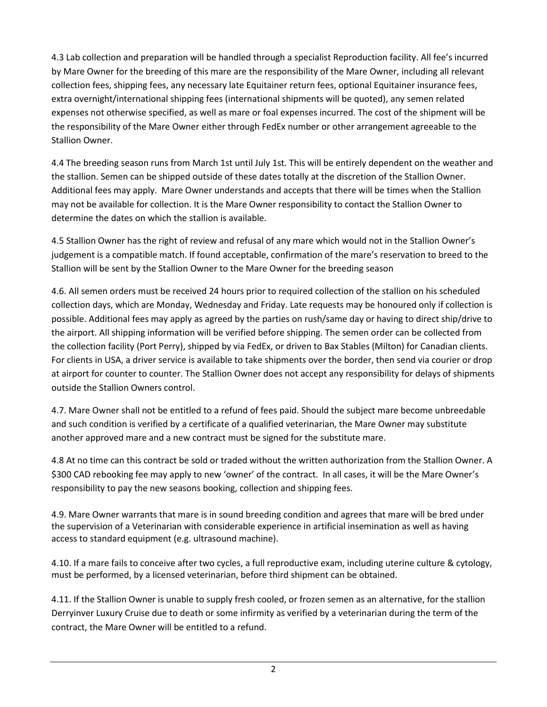4.3 Lab collection and preparation will be handled through a specialist Reproduction facility. All fee's incurred by Mare Owner for the breeding of this mare are the responsibility of the Mare Owner, including all relevant collection fees, shipping fees, any necessary late Equitainer return fees, optional Equitainer insurance fees, extra overnight/international shipping fees (international shipments will be quoted), any semen related expenses not otherwise specified, as well as mare or foal expenses incurred. The cost of the shipment will be the responsibility of the Mare Owner either through FedEx number or other arrangement agreeable to the Stallion Owner.

4.4 The breeding season runs from March 1st until July 1st. This will be entirely dependent on the weather and the stallion. Semen can be shipped outside of these dates totally at the discretion of the Stallion Owner. Additional fees may apply. Mare Owner understands and accepts that there will be times when the Stallion may not be available for collection. It is the Mare Owner responsibility to contact the Stallion Owner to determine the dates on which the stallion is available.

4.5 Stallion Owner has the right of review and refusal of any mare which would not in the Stallion Owner's judgement is a compatible match. If found acceptable, confirmation of the mare's reservation to breed to the Stallion will be sent by the Stallion Owner to the Mare Owner for the breeding season

4.6. All semen orders must be received 24 hours prior to required collection of the stallion on his scheduled collection days, which are Monday, Wednesday and Friday. Late requests may be honoured only if collection is possible. Additional fees may apply as agreed by the parties on rush/same day or having to direct ship/drive to the airport. All shipping information will be verified before shipping. The semen order can be collected from the collection facility (Port Perry), shipped by via FedEx, or driven to Bax Stables (Milton) for Canadian clients. For clients in USA, a driver service is available to take shipments over the border, then send via courier or drop at airport for counter to counter. The Stallion Owner does not accept any responsibility for delays of shipments outside the Stallion Owners control.

4.7. Mare Owner shall not be entitled to a refund of fees paid. Should the subject mare become unbreedable and such condition is verified by a certificate of a qualified veterinarian, the Mare Owner may substitute another approved mare and a new contract must be signed for the substitute mare.

4.8 At no time can this contract be sold or traded without the written authorization from the Stallion Owner. A \$300 CAD rebooking fee may apply to new 'owner' of the contract. In all cases, it will be the Mare Owner's responsibility to pay the new seasons booking, collection and shipping fees.

4.9. Mare Owner warrants that mare is in sound breeding condition and agrees that mare will be bred under the supervision of a Veterinarian with considerable experience in artificial insemination as well as having access to standard equipment (e.g. ultrasound machine).

4.10. If a mare fails to conceive after two cycles, a full reproductive exam, including uterine culture & cytology, must be performed, by a licensed veterinarian, before third shipment can be obtained.

4.11. If the Stallion Owner is unable to supply fresh cooled, or frozen semen as an alternative, for the stallion Derryinver Luxury Cruise due to death or some infirmity as verified by a veterinarian during the term of the contract, the Mare Owner will be entitled to a refund.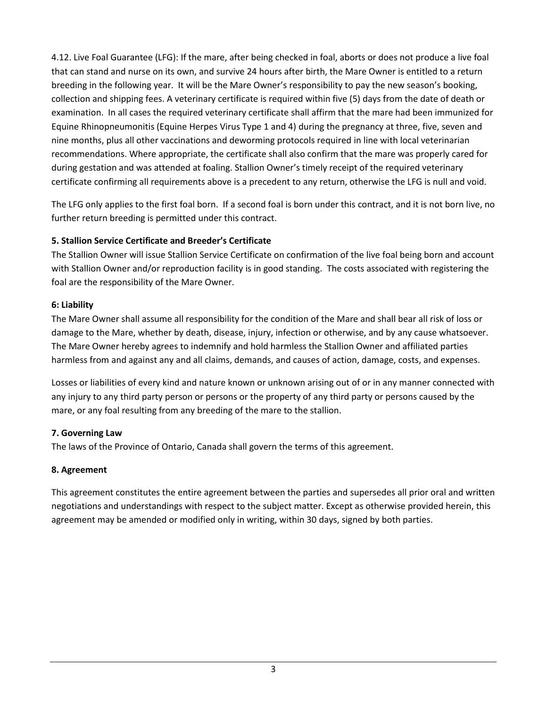4.12. Live Foal Guarantee (LFG): If the mare, after being checked in foal, aborts or does not produce a live foal that can stand and nurse on its own, and survive 24 hours after birth, the Mare Owner is entitled to a return breeding in the following year. It will be the Mare Owner's responsibility to pay the new season's booking, collection and shipping fees. A veterinary certificate is required within five (5) days from the date of death or examination. In all cases the required veterinary certificate shall affirm that the mare had been immunized for Equine Rhinopneumonitis (Equine Herpes Virus Type 1 and 4) during the pregnancy at three, five, seven and nine months, plus all other vaccinations and deworming protocols required in line with local veterinarian recommendations. Where appropriate, the certificate shall also confirm that the mare was properly cared for during gestation and was attended at foaling. Stallion Owner's timely receipt of the required veterinary certificate confirming all requirements above is a precedent to any return, otherwise the LFG is null and void.

The LFG only applies to the first foal born. If a second foal is born under this contract, and it is not born live, no further return breeding is permitted under this contract.

# **5. Stallion Service Certificate and Breeder's Certificate**

The Stallion Owner will issue Stallion Service Certificate on confirmation of the live foal being born and account with Stallion Owner and/or reproduction facility is in good standing. The costs associated with registering the foal are the responsibility of the Mare Owner.

### **6: Liability**

The Mare Owner shall assume all responsibility for the condition of the Mare and shall bear all risk of loss or damage to the Mare, whether by death, disease, injury, infection or otherwise, and by any cause whatsoever. The Mare Owner hereby agrees to indemnify and hold harmless the Stallion Owner and affiliated parties harmless from and against any and all claims, demands, and causes of action, damage, costs, and expenses.

Losses or liabilities of every kind and nature known or unknown arising out of or in any manner connected with any injury to any third party person or persons or the property of any third party or persons caused by the mare, or any foal resulting from any breeding of the mare to the stallion.

### **7. Governing Law**

The laws of the Province of Ontario, Canada shall govern the terms of this agreement.

### **8. Agreement**

This agreement constitutes the entire agreement between the parties and supersedes all prior oral and written negotiations and understandings with respect to the subject matter. Except as otherwise provided herein, this agreement may be amended or modified only in writing, within 30 days, signed by both parties.